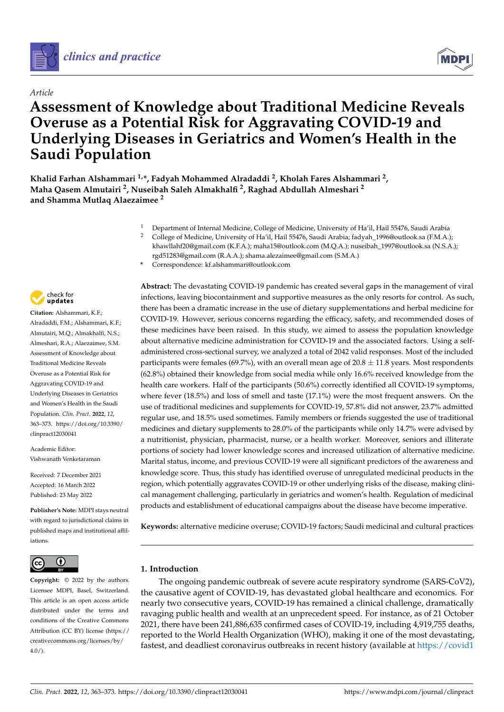

# *Article*



# **Assessment of Knowledge about Traditional Medicine Reveals Overuse as a Potential Risk for Aggravating COVID-19 and Underlying Diseases in Geriatrics and Women's Health in the Saudi Population**

**Khalid Farhan Alshammari 1,\*, Fadyah Mohammed Alradaddi <sup>2</sup> , Kholah Fares Alshammari <sup>2</sup> , Maha Qasem Almutairi <sup>2</sup> , Nuseibah Saleh Almakhalfi <sup>2</sup> , Raghad Abdullah Almeshari <sup>2</sup> and Shamma Mutlaq Alaezaimee <sup>2</sup>**

- <sup>1</sup> Department of Internal Medicine, College of Medicine, University of Ha'il, Hail 55476, Saudi Arabia<sup>2</sup> College of Medicine, University of Ha'il, Hail 55476, Saudi Arabia<sup>2</sup>
- <sup>2</sup> College of Medicine, University of Ha'il, Hail 55476, Saudi Arabia; fadyah\_1996@outlook.sa (F.M.A.); khawllahf20@gmail.com (K.F.A.); maha15@outlook.com (M.Q.A.); nuseibah\_1997@outlook.sa (N.S.A.); rgd51283@gmail.com (R.A.A.); shama.alezaimee@gmail.com (S.M.A.)
- **\*** Correspondence: kf.alshammari@outlook.com



**Citation:** Alshammari, K.F.; Alradaddi, F.M.; Alshammari, K.F.; Almutairi, M.Q.; Almakhalfi, N.S.; Almeshari, R.A.; Alaezaimee, S.M. Assessment of Knowledge about Traditional Medicine Reveals Overuse as a Potential Risk for Aggravating COVID-19 and Underlying Diseases in Geriatrics and Women's Health in the Saudi Population. *Clin. Pract.* **2022**, *12*, 363–373. [https://doi.org/10.3390/](https://doi.org/10.3390/clinpract12030041) [clinpract12030041](https://doi.org/10.3390/clinpract12030041)

Academic Editor: Vishwanath Venketaraman

Received: 7 December 2021 Accepted: 16 March 2022 Published: 23 May 2022

**Publisher's Note:** MDPI stays neutral with regard to jurisdictional claims in published maps and institutional affiliations.



**Copyright:** © 2022 by the authors. Licensee MDPI, Basel, Switzerland. This article is an open access article distributed under the terms and conditions of the Creative Commons Attribution (CC BY) license [\(https://](https://creativecommons.org/licenses/by/4.0/) [creativecommons.org/licenses/by/](https://creativecommons.org/licenses/by/4.0/)  $4.0/$ ).

**Abstract:** The devastating COVID-19 pandemic has created several gaps in the management of viral infections, leaving biocontainment and supportive measures as the only resorts for control. As such, there has been a dramatic increase in the use of dietary supplementations and herbal medicine for COVID-19. However, serious concerns regarding the efficacy, safety, and recommended doses of these medicines have been raised. In this study, we aimed to assess the population knowledge about alternative medicine administration for COVID-19 and the associated factors. Using a selfadministered cross-sectional survey, we analyzed a total of 2042 valid responses. Most of the included participants were females (69.7%), with an overall mean age of  $20.8 \pm 11.8$  years. Most respondents (62.8%) obtained their knowledge from social media while only 16.6% received knowledge from the health care workers. Half of the participants (50.6%) correctly identified all COVID-19 symptoms, where fever (18.5%) and loss of smell and taste (17.1%) were the most frequent answers. On the use of traditional medicines and supplements for COVID-19, 57.8% did not answer, 23.7% admitted regular use, and 18.5% used sometimes. Family members or friends suggested the use of traditional medicines and dietary supplements to 28.0% of the participants while only 14.7% were advised by a nutritionist, physician, pharmacist, nurse, or a health worker. Moreover, seniors and illiterate portions of society had lower knowledge scores and increased utilization of alternative medicine. Marital status, income, and previous COVID-19 were all significant predictors of the awareness and knowledge score. Thus, this study has identified overuse of unregulated medicinal products in the region, which potentially aggravates COVID-19 or other underlying risks of the disease, making clinical management challenging, particularly in geriatrics and women's health. Regulation of medicinal products and establishment of educational campaigns about the disease have become imperative.

**Keywords:** alternative medicine overuse; COVID-19 factors; Saudi medicinal and cultural practices

# **1. Introduction**

The ongoing pandemic outbreak of severe acute respiratory syndrome (SARS-CoV2), the causative agent of COVID-19, has devastated global healthcare and economics. For nearly two consecutive years, COVID-19 has remained a clinical challenge, dramatically ravaging public health and wealth at an unprecedent speed. For instance, as of 21 October 2021, there have been 241,886,635 confirmed cases of COVID-19, including 4,919,755 deaths, reported to the World Health Organization (WHO), making it one of the most devastating, fastest, and deadliest coronavirus outbreaks in recent history (available at [https://covid1](https://covid19.who.int/)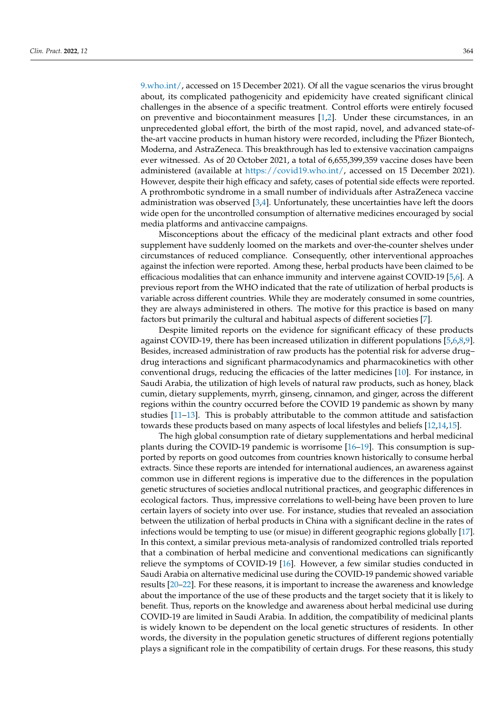[9.who.int/,](https://covid19.who.int/) accessed on 15 December 2021). Of all the vague scenarios the virus brought about, its complicated pathogenicity and epidemicity have created significant clinical challenges in the absence of a specific treatment. Control efforts were entirely focused on preventive and biocontainment measures [\[1](#page-9-0)[,2\]](#page-9-1). Under these circumstances, in an unprecedented global effort, the birth of the most rapid, novel, and advanced state-ofthe-art vaccine products in human history were recorded, including the Pfizer Biontech, Moderna, and AstraZeneca. This breakthrough has led to extensive vaccination campaigns ever witnessed. As of 20 October 2021, a total of 6,655,399,359 vaccine doses have been administered (available at [https://covid19.who.int/,](https://covid19.who.int/) accessed on 15 December 2021). However, despite their high efficacy and safety, cases of potential side effects were reported. A prothrombotic syndrome in a small number of individuals after AstraZeneca vaccine administration was observed  $[3,4]$  $[3,4]$ . Unfortunately, these uncertainties have left the doors wide open for the uncontrolled consumption of alternative medicines encouraged by social media platforms and antivaccine campaigns.

Misconceptions about the efficacy of the medicinal plant extracts and other food supplement have suddenly loomed on the markets and over-the-counter shelves under circumstances of reduced compliance. Consequently, other interventional approaches against the infection were reported. Among these, herbal products have been claimed to be efficacious modalities that can enhance immunity and intervene against COVID-19 [\[5](#page-9-4)[,6\]](#page-9-5). A previous report from the WHO indicated that the rate of utilization of herbal products is variable across different countries. While they are moderately consumed in some countries, they are always administered in others. The motive for this practice is based on many factors but primarily the cultural and habitual aspects of different societies [\[7\]](#page-9-6).

Despite limited reports on the evidence for significant efficacy of these products against COVID-19, there has been increased utilization in different populations [\[5,](#page-9-4)[6,](#page-9-5)[8,](#page-9-7)[9\]](#page-9-8). Besides, increased administration of raw products has the potential risk for adverse drug– drug interactions and significant pharmacodynamics and pharmacokinetics with other conventional drugs, reducing the efficacies of the latter medicines [\[10\]](#page-9-9). For instance, in Saudi Arabia, the utilization of high levels of natural raw products, such as honey, black cumin, dietary supplements, myrrh, ginseng, cinnamon, and ginger, across the different regions within the country occurred before the COVID 19 pandemic as shown by many studies [\[11](#page-10-0)[–13\]](#page-10-1). This is probably attributable to the common attitude and satisfaction towards these products based on many aspects of local lifestyles and beliefs [\[12](#page-10-2)[,14](#page-10-3)[,15\]](#page-10-4).

The high global consumption rate of dietary supplementations and herbal medicinal plants during the COVID-19 pandemic is worrisome [\[16–](#page-10-5)[19\]](#page-10-6). This consumption is supported by reports on good outcomes from countries known historically to consume herbal extracts. Since these reports are intended for international audiences, an awareness against common use in different regions is imperative due to the differences in the population genetic structures of societies andlocal nutritional practices, and geographic differences in ecological factors. Thus, impressive correlations to well-being have been proven to lure certain layers of society into over use. For instance, studies that revealed an association between the utilization of herbal products in China with a significant decline in the rates of infections would be tempting to use (or misue) in different geographic regions globally [\[17\]](#page-10-7). In this context, a similar previous meta-analysis of randomized controlled trials reported that a combination of herbal medicine and conventional medications can significantly relieve the symptoms of COVID-19 [\[16\]](#page-10-5). However, a few similar studies conducted in Saudi Arabia on alternative medicinal use during the COVID-19 pandemic showed variable results [\[20–](#page-10-8)[22\]](#page-10-9). For these reasons, it is important to increase the awareness and knowledge about the importance of the use of these products and the target society that it is likely to benefit. Thus, reports on the knowledge and awareness about herbal medicinal use during COVID-19 are limited in Saudi Arabia. In addition, the compatibility of medicinal plants is widely known to be dependent on the local genetic structures of residents. In other words, the diversity in the population genetic structures of different regions potentially plays a significant role in the compatibility of certain drugs. For these reasons, this study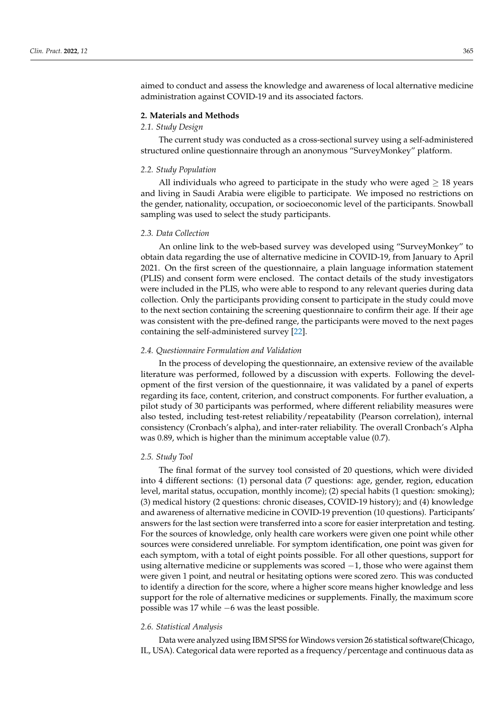aimed to conduct and assess the knowledge and awareness of local alternative medicine administration against COVID-19 and its associated factors.

#### **2. Materials and Methods**

# *2.1. Study Design*

The current study was conducted as a cross-sectional survey using a self-administered structured online questionnaire through an anonymous "SurveyMonkey" platform.

#### *2.2. Study Population*

All individuals who agreed to participate in the study who were aged  $\geq 18$  years and living in Saudi Arabia were eligible to participate. We imposed no restrictions on the gender, nationality, occupation, or socioeconomic level of the participants. Snowball sampling was used to select the study participants.

#### *2.3. Data Collection*

An online link to the web-based survey was developed using "SurveyMonkey" to obtain data regarding the use of alternative medicine in COVID-19, from January to April 2021. On the first screen of the questionnaire, a plain language information statement (PLIS) and consent form were enclosed. The contact details of the study investigators were included in the PLIS, who were able to respond to any relevant queries during data collection. Only the participants providing consent to participate in the study could move to the next section containing the screening questionnaire to confirm their age. If their age was consistent with the pre-defined range, the participants were moved to the next pages containing the self-administered survey [\[22\]](#page-10-9).

#### *2.4. Questionnaire Formulation and Validation*

In the process of developing the questionnaire, an extensive review of the available literature was performed, followed by a discussion with experts. Following the development of the first version of the questionnaire, it was validated by a panel of experts regarding its face, content, criterion, and construct components. For further evaluation, a pilot study of 30 participants was performed, where different reliability measures were also tested, including test-retest reliability/repeatability (Pearson correlation), internal consistency (Cronbach's alpha), and inter-rater reliability. The overall Cronbach's Alpha was 0.89, which is higher than the minimum acceptable value (0.7).

#### *2.5. Study Tool*

The final format of the survey tool consisted of 20 questions, which were divided into 4 different sections: (1) personal data (7 questions: age, gender, region, education level, marital status, occupation, monthly income); (2) special habits (1 question: smoking); (3) medical history (2 questions: chronic diseases, COVID-19 history); and (4) knowledge and awareness of alternative medicine in COVID-19 prevention (10 questions). Participants' answers for the last section were transferred into a score for easier interpretation and testing. For the sources of knowledge, only health care workers were given one point while other sources were considered unreliable. For symptom identification, one point was given for each symptom, with a total of eight points possible. For all other questions, support for using alternative medicine or supplements was scored −1, those who were against them were given 1 point, and neutral or hesitating options were scored zero. This was conducted to identify a direction for the score, where a higher score means higher knowledge and less support for the role of alternative medicines or supplements. Finally, the maximum score possible was 17 while −6 was the least possible.

#### *2.6. Statistical Analysis*

Data were analyzed using IBM SPSS for Windows version 26 statistical software(Chicago, IL, USA). Categorical data were reported as a frequency/percentage and continuous data as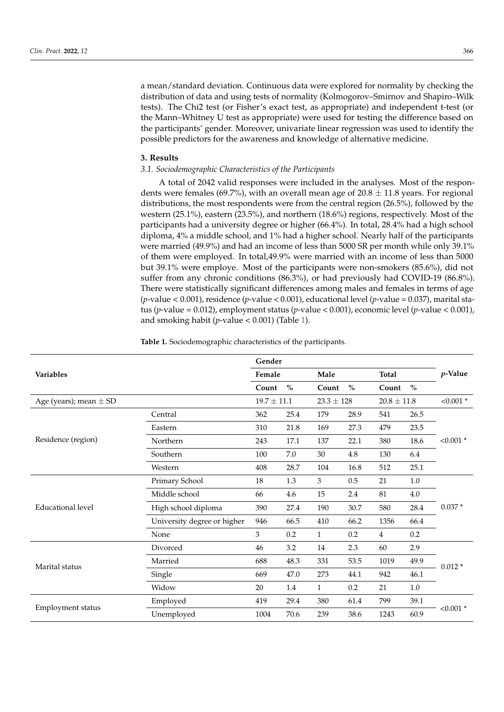a mean/standard deviation. Continuous data were explored for normality by checking the distribution of data and using tests of normality (Kolmogorov–Smirnov and Shapiro–Wilk tests). The Chi2 test (or Fisher's exact test, as appropriate) and independent t-test (or the Mann–Whitney U test as appropriate) were used for testing the difference based on the participants' gender. Moreover, univariate linear regression was used to identify the possible predictors for the awareness and knowledge of alternative medicine.

#### **3. Results**

### *3.1. Sociodemographic Characteristics of the Participants*

A total of 2042 valid responses were included in the analyses. Most of the respondents were females (69.7%), with an overall mean age of  $20.8 \pm 11.8$  years. For regional distributions, the most respondents were from the central region (26.5%), followed by the western (25.1%), eastern (23.5%), and northern (18.6%) regions, respectively. Most of the participants had a university degree or higher (66.4%). In total, 28.4% had a high school diploma, 4% a middle school, and 1% had a higher school. Nearly half of the participants were married (49.9%) and had an income of less than 5000 SR per month while only 39.1% of them were employed. In total,49.9% were married with an income of less than 5000 but 39.1% were employe. Most of the participants were non-smokers (85.6%), did not suffer from any chronic conditions (86.3%), or had previously had COVID-19 (86.8%). There were statistically significant differences among males and females in terms of age (*p*-value < 0.001), residence (*p*-value < 0.001), educational level (*p*-value = 0.037), marital status (*p*-value = 0.012), employment status (*p*-value < 0.001), economic level (*p*-value < 0.001), and smoking habit ( $p$ -value < 0.00[1\)](#page-3-0) (Table 1).

<span id="page-3-0"></span>**Table 1.** Sociodemographic characteristics of the participants.

|                            |                             | Gender          |      |                |               |                 |         |             |  |
|----------------------------|-----------------------------|-----------------|------|----------------|---------------|-----------------|---------|-------------|--|
| <b>Variables</b>           |                             | Female          |      | Male           |               | <b>Total</b>    |         | p-Value     |  |
|                            |                             | Count           | $\%$ | Count          | $\frac{0}{0}$ | Count           | $\%$    |             |  |
| Age (years); mean $\pm$ SD |                             | $19.7 \pm 11.1$ |      | $23.3 \pm 128$ |               | $20.8 \pm 11.8$ |         | $< 0.001$ * |  |
|                            | Central                     | 362             | 25.4 | 179            | 28.9          | 541             | 26.5    |             |  |
|                            | Eastern                     | 310             | 21.8 | 169            | 27.3          | 479             | 23.5    | $< 0.001$ * |  |
| Residence (region)         | Northern                    | 243             | 17.1 | 137            | 22.1          | 380             | 18.6    |             |  |
|                            | Southern                    | 100             | 7.0  | 30             | $4.8\,$       | 130             | 6.4     |             |  |
|                            | Western                     | 408             | 28.7 | 104            | 16.8          | 512             | 25.1    |             |  |
|                            | Primary School              | 18              | 1.3  | 3              | 0.5           | 21              | 1.0     |             |  |
|                            | Middle school               | 66              | 4.6  | 15             | 2.4           | 81              | $4.0\,$ | $0.037*$    |  |
| Educational level          | High school diploma         | 390             | 27.4 | 190            | 30.7          | 580             | 28.4    |             |  |
|                            | University degree or higher | 946             | 66.5 | 410            | 66.2          | 1356            | 66.4    |             |  |
|                            | None                        | 3               | 0.2  | $\mathbf{1}$   | 0.2           | 4               | $0.2\,$ |             |  |
|                            | Divorced                    | 46              | 3.2  | 14             | 2.3           | 60              | 2.9     |             |  |
| Marital status             | Married                     | 688             | 48.3 | 331            | 53.5          | 1019            | 49.9    | $0.012*$    |  |
|                            | Single                      | 669             | 47.0 | 273            | 44.1          | 942             | 46.1    |             |  |
|                            | Widow                       | 20              | 1.4  | $\mathbf{1}$   | 0.2           | 21              | $1.0\,$ |             |  |
|                            | Employed                    | 419             | 29.4 | 380            | 61.4          | 799             | 39.1    |             |  |
| Employment status          | Unemployed                  | 1004            | 70.6 | 239            | 38.6          | 1243            | 60.9    | $< 0.001$ * |  |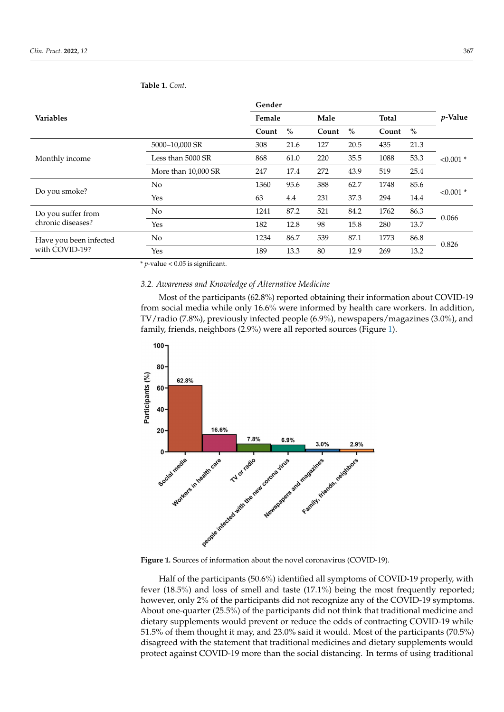|                                          |                     | Gender |      |       |      |              |      |                 |  |
|------------------------------------------|---------------------|--------|------|-------|------|--------------|------|-----------------|--|
| <b>Variables</b>                         |                     | Female |      | Male  |      | <b>Total</b> |      | <i>v</i> -Value |  |
|                                          |                     | Count  | $\%$ | Count | $\%$ | Count        | $\%$ |                 |  |
| Monthly income                           | 5000-10,000 SR      | 308    | 21.6 | 127   | 20.5 | 435          | 21.3 |                 |  |
|                                          | Less than 5000 SR   | 868    | 61.0 | 220   | 35.5 | 1088         | 53.3 | $< 0.001$ *     |  |
|                                          | More than 10,000 SR | 247    | 17.4 | 272   | 43.9 | 519          | 25.4 |                 |  |
| Do you smoke?                            | N <sub>0</sub>      | 1360   | 95.6 | 388   | 62.7 | 1748         | 85.6 |                 |  |
|                                          | Yes                 | 63     | 4.4  | 231   | 37.3 | 294          | 14.4 | $< 0.001$ *     |  |
| Do you suffer from<br>chronic diseases?  | N <sub>o</sub>      | 1241   | 87.2 | 521   | 84.2 | 1762         | 86.3 | 0.066           |  |
|                                          | Yes                 | 182    | 12.8 | 98    | 15.8 | 280          | 13.7 |                 |  |
| Have you been infected<br>with COVID-19? | N <sub>o</sub>      | 1234   | 86.7 | 539   | 87.1 | 1773         | 86.8 | 0.826           |  |
|                                          | Yes                 | 189    | 13.3 | 80    | 12.9 | 269          | 13.2 |                 |  |

**Table 1.** *Cont.*

\* *p*-value < 0.05 is significant.

# 3.2. Awareness and Knowledge of Alternative Medicine

Most of the participants (62.8%) reported obtaining their information about COVID-19 from social media while only 16.6% were informed by health care workers. In addition, TV/radio (7.8%), previously infected people (6.9%), newspapers/magazines (3.0%), and family, friends, neighbors (2.9%) were all reported sources (Figure [1\)](#page-4-0).

<span id="page-4-0"></span>

**Figure 1.** Sources of information about the novel coronavirus (COVID-19). **Figure 1.** Sources of information about the novel coronavirus (COVID-19).

Half of the participants (50.6%) identified all symptoms of COVID-19 properly, with Half of the participants (50.6%) identified all symptoms of COVID-19 properly, with fever (18.5%) and loss of smell and taste (17.1%) being the most frequently reported;  $\frac{1}{2}$ ever, only 2% of the participants did not recognize any of the COVID-19 symptoms. About however, only 2% of the participants did not recognize any of the COVID-19 symptoms. About one-quarter (25.5%) of the participants did not think that traditional medicine and  $\frac{1}{1}$ dietary supplements would prevent or reduce the odds of contracting COVID-19 while<br>51.5% of the distribution of the original property of the original property of the settlement of the settlemen 51.5% of them thought it may, and 23.0% said it would. Most of the participants (70.5%)<br>discovered with the statement that the difference of the participants (70.5%) with the statement that traditional medicines and dietary supplements would protect against COVID-19 more than the social distancing. In terms of using traditional disagreed with the statement that traditional medicines and dietary supplements would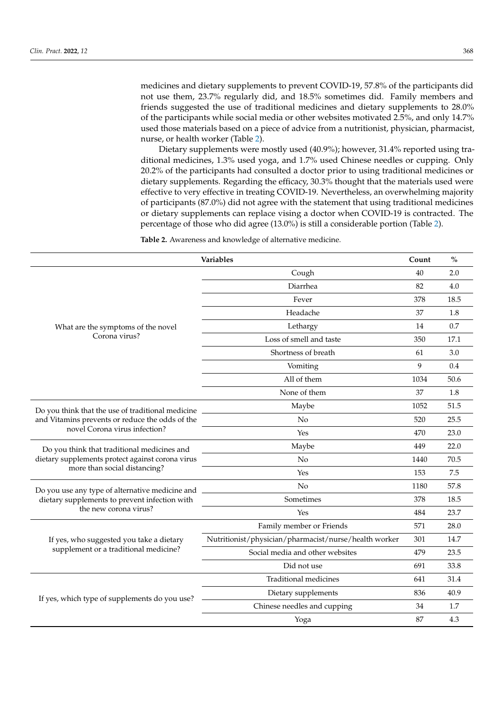medicines and dietary supplements to prevent COVID-19, 57.8% of the participants did not use them, 23.7% regularly did, and 18.5% sometimes did. Family members and friends suggested the use of traditional medicines and dietary supplements to 28.0% of the participants while social media or other websites motivated 2.5%, and only 14.7% used those materials based on a piece of advice from a nutritionist, physician, pharmacist, nurse, or health worker (Table [2\)](#page-5-0).

Dietary supplements were mostly used (40.9%); however, 31.4% reported using traditional medicines, 1.3% used yoga, and 1.7% used Chinese needles or cupping. Only 20.2% of the participants had consulted a doctor prior to using traditional medicines or dietary supplements. Regarding the efficacy, 30.3% thought that the materials used were effective to very effective in treating COVID-19. Nevertheless, an overwhelming majority of participants (87.0%) did not agree with the statement that using traditional medicines or dietary supplements can replace vising a doctor when COVID-19 is contracted. The percentage of those who did agree (13.0%) is still a considerable portion (Table [2\)](#page-5-0).

<span id="page-5-0"></span>**Table 2.** Awareness and knowledge of alternative medicine.

| Variables                                         | Count                                                 | $\frac{0}{0}$ |      |
|---------------------------------------------------|-------------------------------------------------------|---------------|------|
|                                                   | Cough                                                 | 40            | 2.0  |
|                                                   | Diarrhea                                              | 82            | 4.0  |
|                                                   | Fever                                                 | 378           | 18.5 |
|                                                   | Headache                                              | 37            | 1.8  |
| What are the symptoms of the novel                | Lethargy                                              | 14            | 0.7  |
| Corona virus?                                     | Loss of smell and taste                               | 350           | 17.1 |
|                                                   | Shortness of breath                                   | 61            | 3.0  |
|                                                   | Vomiting                                              | 9             | 0.4  |
|                                                   | All of them                                           | 1034          | 50.6 |
|                                                   | None of them                                          | 37            | 1.8  |
| Do you think that the use of traditional medicine | Maybe                                                 |               | 51.5 |
| and Vitamins prevents or reduce the odds of the   | No                                                    | 520           | 25.5 |
| novel Corona virus infection?                     | Yes                                                   | 470           | 23.0 |
| Do you think that traditional medicines and       | Maybe                                                 | 449           | 22.0 |
| dietary supplements protect against corona virus  | No                                                    | 1440          | 70.5 |
| more than social distancing?                      | Yes                                                   | 153           | 7.5  |
| Do you use any type of alternative medicine and   | N <sub>o</sub>                                        |               | 57.8 |
| dietary supplements to prevent infection with     | Sometimes                                             | 378           | 18.5 |
| the new corona virus?                             | Yes                                                   | 484           | 23.7 |
|                                                   | Family member or Friends                              |               | 28.0 |
| If yes, who suggested you take a dietary          | Nutritionist/physician/pharmacist/nurse/health worker | 301           | 14.7 |
| supplement or a traditional medicine?             | Social media and other websites                       | 479           | 23.5 |
|                                                   | Did not use                                           | 691           | 33.8 |
|                                                   | Traditional medicines                                 |               | 31.4 |
| If yes, which type of supplements do you use?     | Dietary supplements                                   | 836           | 40.9 |
|                                                   | Chinese needles and cupping                           | 34            | 1.7  |
|                                                   | Yoga                                                  | 87            | 4.3  |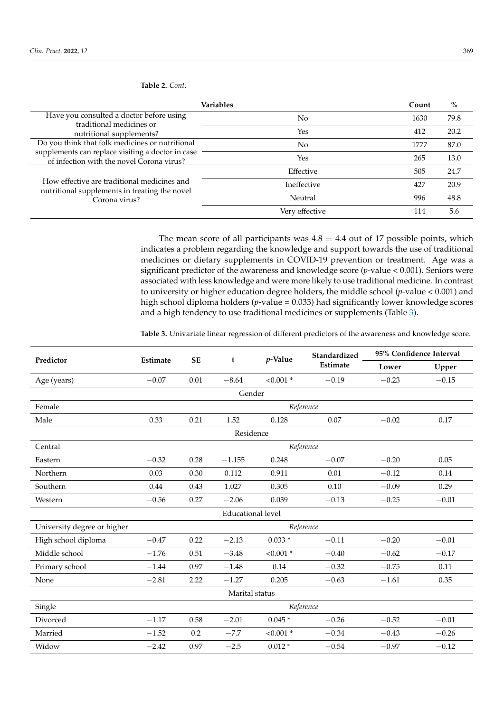**Table 2.** *Cont.*

| <b>Variables</b>                                                                                              | Count          | $\%$ |      |
|---------------------------------------------------------------------------------------------------------------|----------------|------|------|
| Have you consulted a doctor before using                                                                      | No             | 1630 | 79.8 |
| traditional medicines or<br>nutritional supplements?                                                          | Yes            | 412  | 20.2 |
| Do you think that folk medicines or nutritional                                                               | No             | 1777 | 87.0 |
| supplements can replace visiting a doctor in case<br>of infection with the novel Corona virus?                | Yes            | 265  | 13.0 |
| How effective are traditional medicines and<br>nutritional supplements in treating the novel<br>Corona virus? | Effective      | 505  | 24.7 |
|                                                                                                               | Ineffective    | 427  | 20.9 |
|                                                                                                               | Neutral        | 996  | 48.8 |
|                                                                                                               | Verv effective | 114  | 5.6  |

The mean score of all participants was  $4.8 \pm 4.4$  out of 17 possible points, which indicates a problem regarding the knowledge and support towards the use of traditional medicines or dietary supplements in COVID-19 prevention or treatment. Age was a significant predictor of the awareness and knowledge score (*p*-value < 0.001). Seniors were associated with less knowledge and were more likely to use traditional medicine. In contrast to university or higher education degree holders, the middle school (*p*-value < 0.001) and high school diploma holders (*p*-value = 0.033) had significantly lower knowledge scores and a high tendency to use traditional medicines or supplements (Table [3\)](#page-6-0).

<span id="page-6-0"></span>**Table 3.** Univariate linear regression of different predictors of the awareness and knowledge score.

| Predictor                   | Estimate  | <b>SE</b> | t              | $p$ -Value  | Standardized | 95% Confidence Interval |         |  |  |  |
|-----------------------------|-----------|-----------|----------------|-------------|--------------|-------------------------|---------|--|--|--|
|                             |           |           |                |             | Estimate     | Lower                   | Upper   |  |  |  |
| Age (years)                 | $-0.07$   | 0.01      | $-8.64$        | $< 0.001$ * | $-0.19$      | $-0.23$                 | $-0.15$ |  |  |  |
|                             | Gender    |           |                |             |              |                         |         |  |  |  |
| Female                      | Reference |           |                |             |              |                         |         |  |  |  |
| Male                        | 0.33      | 0.21      | 1.52           | 0.128       | 0.07         |                         | 0.17    |  |  |  |
| Residence                   |           |           |                |             |              |                         |         |  |  |  |
| Central                     |           |           |                |             | Reference    |                         |         |  |  |  |
| Eastern                     | $-0.32$   | 0.28      | $-1.155$       | 0.248       | $-0.07$      | $-0.20$                 | 0.05    |  |  |  |
| Northern                    | 0.03      | 0.30      | 0.112          | 0.911       | 0.01         | $-0.12$                 | 0.14    |  |  |  |
| Southern                    | 0.44      | 0.43      | 1.027          | 0.305       | 0.10         | $-0.09$                 | 0.29    |  |  |  |
| Western                     | $-0.56$   | 0.27      | $-2.06$        | 0.039       | $-0.13$      | $-0.25$                 | $-0.01$ |  |  |  |
| <b>Educational level</b>    |           |           |                |             |              |                         |         |  |  |  |
| University degree or higher | Reference |           |                |             |              |                         |         |  |  |  |
| High school diploma         | $-0.47$   | 0.22      | $-2.13$        | $0.033*$    | $-0.11$      | $-0.20$                 | $-0.01$ |  |  |  |
| Middle school               | $-1.76$   | 0.51      | $-3.48$        | $< 0.001$ * | $-0.40$      | $-0.62$                 | $-0.17$ |  |  |  |
| Primary school              | $-1.44$   | 0.97      | $-1.48$        | 0.14        | $-0.32$      | $-0.75$                 | 0.11    |  |  |  |
| None                        | $-2.81$   | 2.22      | $-1.27$        | 0.205       | $-0.63$      | $-1.61$                 | 0.35    |  |  |  |
|                             |           |           | Marital status |             |              |                         |         |  |  |  |
| Single                      | Reference |           |                |             |              |                         |         |  |  |  |
| Divorced                    | $-1.17$   | 0.58      | $-2.01$        | $0.045*$    | $-0.26$      | $-0.52$                 | $-0.01$ |  |  |  |
| Married                     | $-1.52$   | 0.2       | $-7.7$         | $< 0.001$ * | $-0.34$      | $-0.43$                 | $-0.26$ |  |  |  |
| Widow                       | $-2.42$   | 0.97      | $-2.5$         | $0.012*$    | $-0.54$      | $-0.97$                 | $-0.12$ |  |  |  |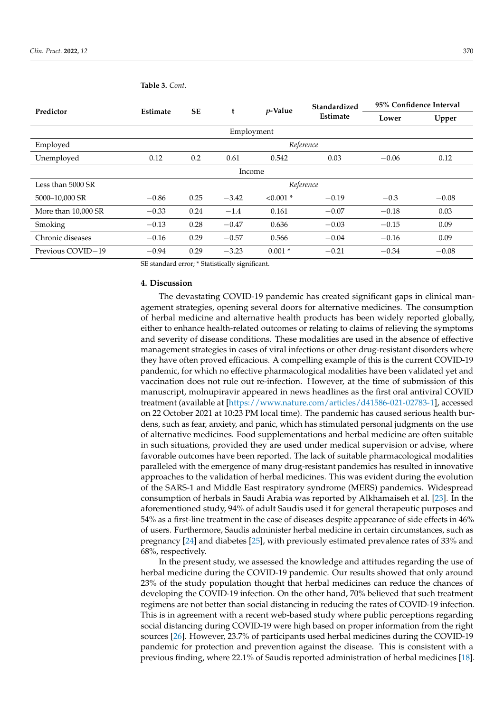| Predictor           | <b>Estimate</b> | <b>SE</b> | t       | $p$ -Value    | Standardized | 95% Confidence Interval |         |  |  |  |
|---------------------|-----------------|-----------|---------|---------------|--------------|-------------------------|---------|--|--|--|
|                     |                 |           |         |               | Estimate     | Lower                   | Upper   |  |  |  |
| Employment          |                 |           |         |               |              |                         |         |  |  |  |
| Employed            | Reference       |           |         |               |              |                         |         |  |  |  |
| Unemployed          | 0.12            | 0.2       | 0.61    | 0.542<br>0.03 |              | $-0.06$                 | 0.12    |  |  |  |
| Income              |                 |           |         |               |              |                         |         |  |  |  |
| Less than 5000 SR   | Reference       |           |         |               |              |                         |         |  |  |  |
| 5000-10,000 SR      | $-0.86$         | 0.25      | $-3.42$ | $< 0.001$ *   | $-0.19$      | $-0.3$                  | $-0.08$ |  |  |  |
| More than 10,000 SR | $-0.33$         | 0.24      | $-1.4$  | 0.161         | $-0.07$      | $-0.18$                 | 0.03    |  |  |  |
| Smoking             | $-0.13$         | 0.28      | $-0.47$ | 0.636         | $-0.03$      | $-0.15$                 | 0.09    |  |  |  |
| Chronic diseases    | $-0.16$         | 0.29      | $-0.57$ | 0.566         | $-0.04$      | $-0.16$                 | 0.09    |  |  |  |
| Previous COVID-19   | $-0.94$         | 0.29      | $-3.23$ | $0.001*$      | $-0.21$      | $-0.34$                 | $-0.08$ |  |  |  |

**Table 3.** *Cont.*

SE standard error; \* Statistically significant.

## **4. Discussion**

The devastating COVID-19 pandemic has created significant gaps in clinical management strategies, opening several doors for alternative medicines. The consumption of herbal medicine and alternative health products has been widely reported globally, either to enhance health-related outcomes or relating to claims of relieving the symptoms and severity of disease conditions. These modalities are used in the absence of effective management strategies in cases of viral infections or other drug-resistant disorders where they have often proved efficacious. A compelling example of this is the current COVID-19 pandemic, for which no effective pharmacological modalities have been validated yet and vaccination does not rule out re-infection. However, at the time of submission of this manuscript, molnupiravir appeared in news headlines as the first oral antiviral COVID treatment (available at [\[https://www.nature.com/articles/d41586-021-02783-1\]](https://www.nature.com/articles/d41586-021-02783-1), accessed on 22 October 2021 at 10:23 PM local time). The pandemic has caused serious health burdens, such as fear, anxiety, and panic, which has stimulated personal judgments on the use of alternative medicines. Food supplementations and herbal medicine are often suitable in such situations, provided they are used under medical supervision or advise, where favorable outcomes have been reported. The lack of suitable pharmacological modalities paralleled with the emergence of many drug-resistant pandemics has resulted in innovative approaches to the validation of herbal medicines. This was evident during the evolution of the SARS-1 and Middle East respiratory syndrome (MERS) pandemics. Widespread consumption of herbals in Saudi Arabia was reported by Alkhamaiseh et al. [\[23\]](#page-10-10). In the aforementioned study, 94% of adult Saudis used it for general therapeutic purposes and 54% as a first-line treatment in the case of diseases despite appearance of side effects in 46% of users. Furthermore, Saudis administer herbal medicine in certain circumstances, such as pregnancy [\[24\]](#page-10-11) and diabetes [\[25\]](#page-10-12), with previously estimated prevalence rates of 33% and 68%, respectively.

In the present study, we assessed the knowledge and attitudes regarding the use of herbal medicine during the COVID-19 pandemic. Our results showed that only around 23% of the study population thought that herbal medicines can reduce the chances of developing the COVID-19 infection. On the other hand, 70% believed that such treatment regimens are not better than social distancing in reducing the rates of COVID-19 infection. This is in agreement with a recent web-based study where public perceptions regarding social distancing during COVID-19 were high based on proper information from the right sources [\[26\]](#page-10-13). However, 23.7% of participants used herbal medicines during the COVID-19 pandemic for protection and prevention against the disease. This is consistent with a previous finding, where 22.1% of Saudis reported administration of herbal medicines [\[18\]](#page-10-14).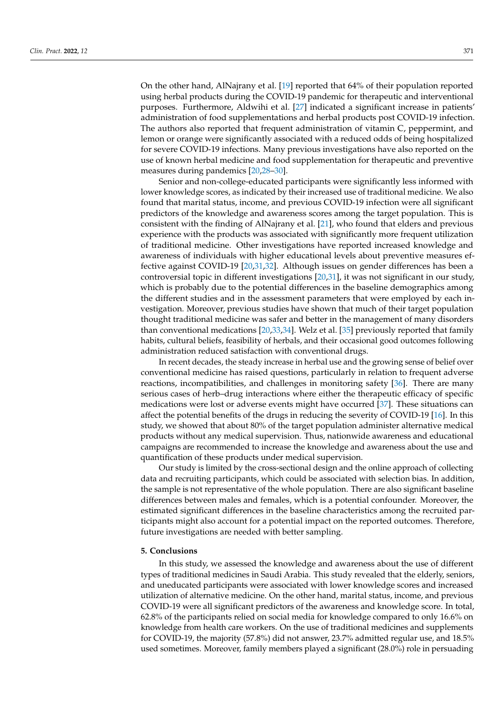On the other hand, AlNajrany et al. [\[19\]](#page-10-6) reported that 64% of their population reported using herbal products during the COVID-19 pandemic for therapeutic and interventional purposes. Furthermore, Aldwihi et al. [\[27\]](#page-10-15) indicated a significant increase in patients' administration of food supplementations and herbal products post COVID-19 infection. The authors also reported that frequent administration of vitamin C, peppermint, and lemon or orange were significantly associated with a reduced odds of being hospitalized for severe COVID-19 infections. Many previous investigations have also reported on the use of known herbal medicine and food supplementation for therapeutic and preventive measures during pandemics [\[20](#page-10-8)[,28](#page-10-16)[–30\]](#page-10-17).

Senior and non-college-educated participants were significantly less informed with lower knowledge scores, as indicated by their increased use of traditional medicine. We also found that marital status, income, and previous COVID-19 infection were all significant predictors of the knowledge and awareness scores among the target population. This is consistent with the finding of AlNajrany et al. [\[21\]](#page-10-18), who found that elders and previous experience with the products was associated with significantly more frequent utilization of traditional medicine. Other investigations have reported increased knowledge and awareness of individuals with higher educational levels about preventive measures effective against COVID-19 [\[20](#page-10-8)[,31](#page-10-19)[,32\]](#page-10-20). Although issues on gender differences has been a controversial topic in different investigations [\[20,](#page-10-8)[31\]](#page-10-19), it was not significant in our study, which is probably due to the potential differences in the baseline demographics among the different studies and in the assessment parameters that were employed by each investigation. Moreover, previous studies have shown that much of their target population thought traditional medicine was safer and better in the management of many disorders than conventional medications [\[20,](#page-10-8)[33](#page-10-21)[,34\]](#page-10-22). Welz et al. [\[35\]](#page-10-23) previously reported that family habits, cultural beliefs, feasibility of herbals, and their occasional good outcomes following administration reduced satisfaction with conventional drugs.

In recent decades, the steady increase in herbal use and the growing sense of belief over conventional medicine has raised questions, particularly in relation to frequent adverse reactions, incompatibilities, and challenges in monitoring safety [\[36\]](#page-10-24). There are many serious cases of herb–drug interactions where either the therapeutic efficacy of specific medications were lost or adverse events might have occurred [\[37\]](#page-10-25). These situations can affect the potential benefits of the drugs in reducing the severity of COVID-19 [\[16\]](#page-10-5). In this study, we showed that about 80% of the target population administer alternative medical products without any medical supervision. Thus, nationwide awareness and educational campaigns are recommended to increase the knowledge and awareness about the use and quantification of these products under medical supervision.

Our study is limited by the cross-sectional design and the online approach of collecting data and recruiting participants, which could be associated with selection bias. In addition, the sample is not representative of the whole population. There are also significant baseline differences between males and females, which is a potential confounder. Moreover, the estimated significant differences in the baseline characteristics among the recruited participants might also account for a potential impact on the reported outcomes. Therefore, future investigations are needed with better sampling.

# **5. Conclusions**

In this study, we assessed the knowledge and awareness about the use of different types of traditional medicines in Saudi Arabia. This study revealed that the elderly, seniors, and uneducated participants were associated with lower knowledge scores and increased utilization of alternative medicine. On the other hand, marital status, income, and previous COVID-19 were all significant predictors of the awareness and knowledge score. In total, 62.8% of the participants relied on social media for knowledge compared to only 16.6% on knowledge from health care workers. On the use of traditional medicines and supplements for COVID-19, the majority (57.8%) did not answer, 23.7% admitted regular use, and 18.5% used sometimes. Moreover, family members played a significant (28.0%) role in persuading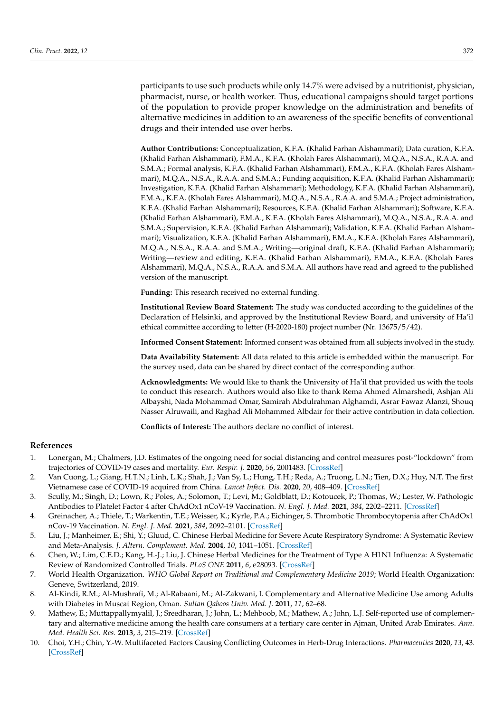participants to use such products while only 14.7% were advised by a nutritionist, physician, pharmacist, nurse, or health worker. Thus, educational campaigns should target portions of the population to provide proper knowledge on the administration and benefits of alternative medicines in addition to an awareness of the specific benefits of conventional drugs and their intended use over herbs.

**Author Contributions:** Conceptualization, K.F.A. (Khalid Farhan Alshammari); Data curation, K.F.A. (Khalid Farhan Alshammari), F.M.A., K.F.A. (Kholah Fares Alshammari), M.Q.A., N.S.A., R.A.A. and S.M.A.; Formal analysis, K.F.A. (Khalid Farhan Alshammari), F.M.A., K.F.A. (Kholah Fares Alshammari), M.Q.A., N.S.A., R.A.A. and S.M.A.; Funding acquisition, K.F.A. (Khalid Farhan Alshammari); Investigation, K.F.A. (Khalid Farhan Alshammari); Methodology, K.F.A. (Khalid Farhan Alshammari), F.M.A., K.F.A. (Kholah Fares Alshammari), M.Q.A., N.S.A., R.A.A. and S.M.A.; Project administration, K.F.A. (Khalid Farhan Alshammari); Resources, K.F.A. (Khalid Farhan Alshammari); Software, K.F.A. (Khalid Farhan Alshammari), F.M.A., K.F.A. (Kholah Fares Alshammari), M.Q.A., N.S.A., R.A.A. and S.M.A.; Supervision, K.F.A. (Khalid Farhan Alshammari); Validation, K.F.A. (Khalid Farhan Alshammari); Visualization, K.F.A. (Khalid Farhan Alshammari), F.M.A., K.F.A. (Kholah Fares Alshammari), M.Q.A., N.S.A., R.A.A. and S.M.A.; Writing—original draft, K.F.A. (Khalid Farhan Alshammari); Writing—review and editing, K.F.A. (Khalid Farhan Alshammari), F.M.A., K.F.A. (Kholah Fares Alshammari), M.Q.A., N.S.A., R.A.A. and S.M.A. All authors have read and agreed to the published version of the manuscript.

**Funding:** This research received no external funding.

**Institutional Review Board Statement:** The study was conducted according to the guidelines of the Declaration of Helsinki, and approved by the Institutional Review Board, and university of Ha'il ethical committee according to letter (H-2020-180) project number (Nr. 13675/5/42).

**Informed Consent Statement:** Informed consent was obtained from all subjects involved in the study.

**Data Availability Statement:** All data related to this article is embedded within the manuscript. For the survey used, data can be shared by direct contact of the corresponding author.

**Acknowledgments:** We would like to thank the University of Ha'il that provided us with the tools to conduct this research. Authors would also like to thank Rema Ahmed Almarshedi, Ashjan Ali Albayshi, Nada Mohammad Omar, Samirah Abdulrahman Alghamdi, Asrar Fawaz Alanzi, Shouq Nasser Alruwaili, and Raghad Ali Mohammed Albdair for their active contribution in data collection.

**Conflicts of Interest:** The authors declare no conflict of interest.

# **References**

- <span id="page-9-0"></span>1. Lonergan, M.; Chalmers, J.D. Estimates of the ongoing need for social distancing and control measures post-"lockdown" from trajectories of COVID-19 cases and mortality. *Eur. Respir. J.* **2020**, *56*, 2001483. [\[CrossRef\]](http://doi.org/10.1183/13993003.01483-2020)
- <span id="page-9-1"></span>2. Van Cuong, L.; Giang, H.T.N.; Linh, L.K.; Shah, J.; Van Sy, L.; Hung, T.H.; Reda, A.; Truong, L.N.; Tien, D.X.; Huy, N.T. The first Vietnamese case of COVID-19 acquired from China. *Lancet Infect. Dis.* **2020**, *20*, 408–409. [\[CrossRef\]](http://doi.org/10.1016/S1473-3099(20)30111-0)
- <span id="page-9-2"></span>3. Scully, M.; Singh, D.; Lown, R.; Poles, A.; Solomon, T.; Levi, M.; Goldblatt, D.; Kotoucek, P.; Thomas, W.; Lester, W. Pathologic Antibodies to Platelet Factor 4 after ChAdOx1 nCoV-19 Vaccination. *N. Engl. J. Med.* **2021**, *384*, 2202–2211. [\[CrossRef\]](http://doi.org/10.1056/NEJMoa2105385)
- <span id="page-9-3"></span>4. Greinacher, A.; Thiele, T.; Warkentin, T.E.; Weisser, K.; Kyrle, P.A.; Eichinger, S. Thrombotic Thrombocytopenia after ChAdOx1 nCov-19 Vaccination. *N. Engl. J. Med.* **2021**, *384*, 2092–2101. [\[CrossRef\]](http://doi.org/10.1056/NEJMoa2104840)
- <span id="page-9-4"></span>5. Liu, J.; Manheimer, E.; Shi, Y.; Gluud, C. Chinese Herbal Medicine for Severe Acute Respiratory Syndrome: A Systematic Review and Meta-Analysis. *J. Altern. Complement. Med.* **2004**, *10*, 1041–1051. [\[CrossRef\]](http://doi.org/10.1089/acm.2004.10.1041)
- <span id="page-9-5"></span>6. Chen, W.; Lim, C.E.D.; Kang, H.-J.; Liu, J. Chinese Herbal Medicines for the Treatment of Type A H1N1 Influenza: A Systematic Review of Randomized Controlled Trials. *PLoS ONE* **2011**, *6*, e28093. [\[CrossRef\]](http://doi.org/10.1371/journal.pone.0028093)
- <span id="page-9-6"></span>7. World Health Organization. *WHO Global Report on Traditional and Complementary Medicine 2019*; World Health Organization: Geneve, Switzerland, 2019.
- <span id="page-9-7"></span>8. Al-Kindi, R.M.; Al-Mushrafi, M.; Al-Rabaani, M.; Al-Zakwani, I. Complementary and Alternative Medicine Use among Adults with Diabetes in Muscat Region, Oman. *Sultan Qaboos Univ. Med. J.* **2011**, *11*, 62–68.
- <span id="page-9-8"></span>9. Mathew, E.; Muttappallymyalil, J.; Sreedharan, J.; John, L.; Mehboob, M.; Mathew, A.; John, L.J. Self-reported use of complementary and alternative medicine among the health care consumers at a tertiary care center in Ajman, United Arab Emirates. *Ann. Med. Health Sci. Res.* **2013**, *3*, 215–219. [\[CrossRef\]](http://doi.org/10.4103/2141-9248.113665)
- <span id="page-9-9"></span>10. Choi, Y.H.; Chin, Y.-W. Multifaceted Factors Causing Conflicting Outcomes in Herb-Drug Interactions. *Pharmaceutics* **2020**, *13*, 43. [\[CrossRef\]](http://doi.org/10.3390/pharmaceutics13010043)